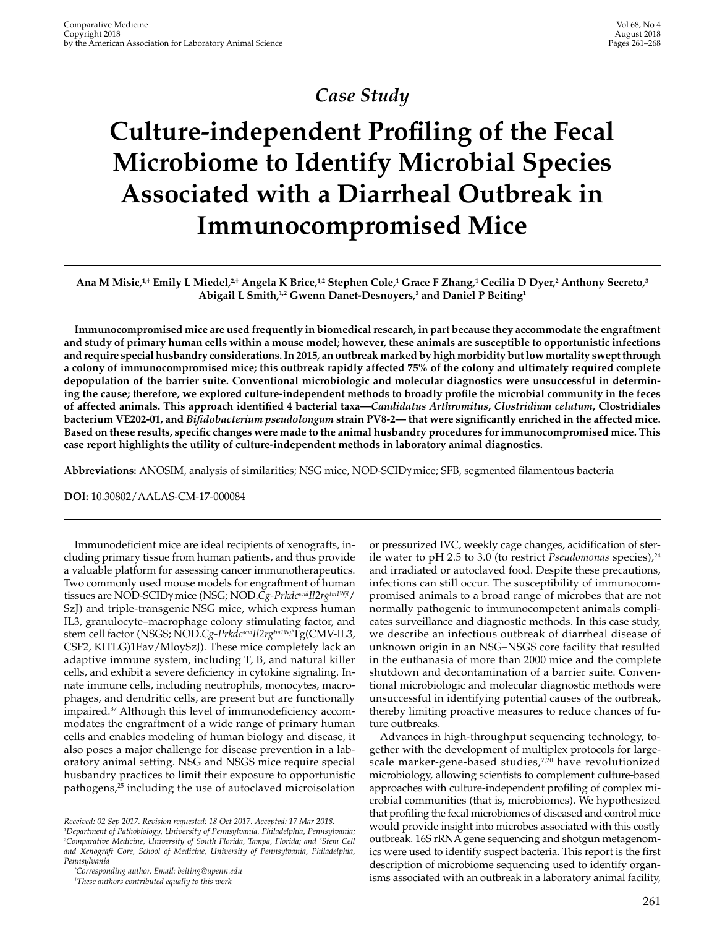## *Case Study*

# **Culture-independent Profiling of the Fecal Microbiome to Identify Microbial Species Associated with a Diarrheal Outbreak in Immunocompromised Mice**

**Ana M Misic,1,† Emily L Miedel,2,† Angela K Brice,1,2 Stephen Cole,1 Grace F Zhang,1 Cecilia D Dyer,2 Anthony Secreto,3** Abigail L Smith,<sup>1,2</sup> Gwenn Danet-Desnoyers,<sup>3</sup> and Daniel P Beiting<sup>1</sup>

**Immunocompromised mice are used frequently in biomedical research, in part because they accommodate the engraftment and study of primary human cells within a mouse model; however, these animals are susceptible to opportunistic infections and require special husbandry considerations. In 2015, an outbreak marked by high morbidity but low mortality swept through a colony of immunocompromised mice; this outbreak rapidly affected 75% of the colony and ultimately required complete depopulation of the barrier suite. Conventional microbiologic and molecular diagnostics were unsuccessful in determining the cause; therefore, we explored culture-independent methods to broadly profile the microbial community in the feces of affected animals. This approach identified 4 bacterial taxa—***Candidatus Arthromitus***,** *Clostridium celatum***, Clostridiales bacterium VE202-01, and** *Bifidobacterium pseudolongum* **strain PV8-2— that were significantly enriched in the affected mice. Based on these results, specific changes were made to the animal husbandry procedures for immunocompromised mice. This case report highlights the utility of culture-independent methods in laboratory animal diagnostics.**

**Abbreviations:** ANOSIM, analysis of similarities; NSG mice, NOD-SCIDγ mice; SFB, segmented filamentous bacteria

**DOI:** 10.30802/AALAS-CM-17-000084

Immunodeficient mice are ideal recipients of xenografts, including primary tissue from human patients, and thus provide a valuable platform for assessing cancer immunotherapeutics. Two commonly used mouse models for engraftment of human tissues are NOD-SCIDγ mice (NSG; NOD.*Cg-Prkdc<sup>scid</sup>Il2rg<sup>tm1Wjl</sup>*/ SzJ) and triple-transgenic NSG mice, which express human IL3, granulocyte–macrophage colony stimulating factor, and stem cell factor (NSGS; NOD.*Cg-PrkdcscidIl2rgtm1Wjl*Tg(CMV-IL3, CSF2, KITLG)1Eav/MloySzJ). These mice completely lack an adaptive immune system, including T, B, and natural killer cells, and exhibit a severe deficiency in cytokine signaling. Innate immune cells, including neutrophils, monocytes, macrophages, and dendritic cells, are present but are functionally impaired.37 Although this level of immunodeficiency accommodates the engraftment of a wide range of primary human cells and enables modeling of human biology and disease, it also poses a major challenge for disease prevention in a laboratory animal setting. NSG and NSGS mice require special husbandry practices to limit their exposure to opportunistic pathogens,25 including the use of autoclaved microisolation

*† These authors contributed equally to this work*

or pressurized IVC, weekly cage changes, acidification of sterile water to pH 2.5 to 3.0 (to restrict *Pseudomonas* species),<sup>24</sup> and irradiated or autoclaved food. Despite these precautions, infections can still occur. The susceptibility of immunocompromised animals to a broad range of microbes that are not normally pathogenic to immunocompetent animals complicates surveillance and diagnostic methods. In this case study, we describe an infectious outbreak of diarrheal disease of unknown origin in an NSG–NSGS core facility that resulted in the euthanasia of more than 2000 mice and the complete shutdown and decontamination of a barrier suite. Conventional microbiologic and molecular diagnostic methods were unsuccessful in identifying potential causes of the outbreak, thereby limiting proactive measures to reduce chances of future outbreaks.

Advances in high-throughput sequencing technology, together with the development of multiplex protocols for largescale marker-gene-based studies, $7,20$  have revolutionized microbiology, allowing scientists to complement culture-based approaches with culture-independent profiling of complex microbial communities (that is, microbiomes). We hypothesized that profiling the fecal microbiomes of diseased and control mice would provide insight into microbes associated with this costly outbreak. 16S rRNA gene sequencing and shotgun metagenomics were used to identify suspect bacteria. This report is the first description of microbiome sequencing used to identify organisms associated with an outbreak in a laboratory animal facility,

*Received: 02 Sep 2017. Revision requested: 18 Oct 2017. Accepted: 17 Mar 2018. 1 Department of Pathobiology, University of Pennsylvania, Philadelphia, Pennsylvania;*  <sup>2</sup>Comparative Medicine, University of South Florida, Tampa, Florida; and <sup>3</sup>Stem Cell *and Xenograft Core, School of Medicine, University of Pennsylvania, Philadelphia, Pennsylvania*

*<sup>\*</sup> Corresponding author. Email: beiting@upenn.edu*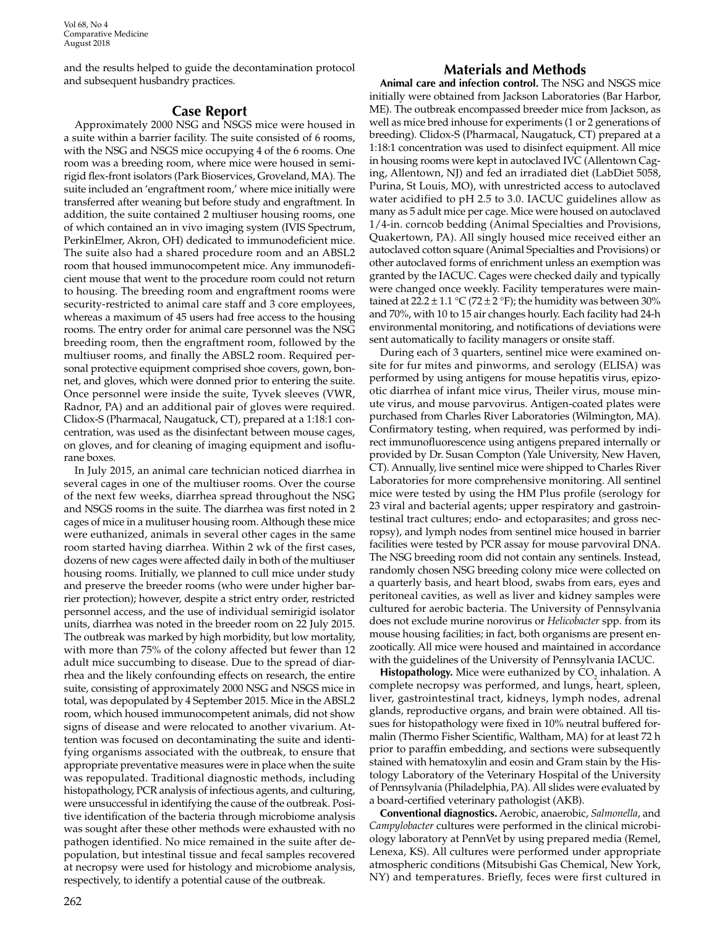and the results helped to guide the decontamination protocol and subsequent husbandry practices.

### **Case Report**

Approximately 2000 NSG and NSGS mice were housed in a suite within a barrier facility. The suite consisted of 6 rooms, with the NSG and NSGS mice occupying 4 of the 6 rooms. One room was a breeding room, where mice were housed in semirigid flex-front isolators (Park Bioservices, Groveland, MA). The suite included an 'engraftment room,' where mice initially were transferred after weaning but before study and engraftment. In addition, the suite contained 2 multiuser housing rooms, one of which contained an in vivo imaging system (IVIS Spectrum, PerkinElmer, Akron, OH) dedicated to immunodeficient mice. The suite also had a shared procedure room and an ABSL2 room that housed immunocompetent mice. Any immunodeficient mouse that went to the procedure room could not return to housing. The breeding room and engraftment rooms were security-restricted to animal care staff and 3 core employees, whereas a maximum of 45 users had free access to the housing rooms. The entry order for animal care personnel was the NSG breeding room, then the engraftment room, followed by the multiuser rooms, and finally the ABSL2 room. Required personal protective equipment comprised shoe covers, gown, bonnet, and gloves, which were donned prior to entering the suite. Once personnel were inside the suite, Tyvek sleeves (VWR, Radnor, PA) and an additional pair of gloves were required. Clidox-S (Pharmacal, Naugatuck, CT), prepared at a 1:18:1 concentration, was used as the disinfectant between mouse cages, on gloves, and for cleaning of imaging equipment and isoflurane boxes.

In July 2015, an animal care technician noticed diarrhea in several cages in one of the multiuser rooms. Over the course of the next few weeks, diarrhea spread throughout the NSG and NSGS rooms in the suite. The diarrhea was first noted in 2 cages of mice in a mulituser housing room. Although these mice were euthanized, animals in several other cages in the same room started having diarrhea. Within 2 wk of the first cases, dozens of new cages were affected daily in both of the multiuser housing rooms. Initially, we planned to cull mice under study and preserve the breeder rooms (who were under higher barrier protection); however, despite a strict entry order, restricted personnel access, and the use of individual semirigid isolator units, diarrhea was noted in the breeder room on 22 July 2015. The outbreak was marked by high morbidity, but low mortality, with more than 75% of the colony affected but fewer than 12 adult mice succumbing to disease. Due to the spread of diarrhea and the likely confounding effects on research, the entire suite, consisting of approximately 2000 NSG and NSGS mice in total, was depopulated by 4 September 2015. Mice in the ABSL2 room, which housed immunocompetent animals, did not show signs of disease and were relocated to another vivarium. Attention was focused on decontaminating the suite and identifying organisms associated with the outbreak, to ensure that appropriate preventative measures were in place when the suite was repopulated. Traditional diagnostic methods, including histopathology, PCR analysis of infectious agents, and culturing, were unsuccessful in identifying the cause of the outbreak. Positive identification of the bacteria through microbiome analysis was sought after these other methods were exhausted with no pathogen identified. No mice remained in the suite after depopulation, but intestinal tissue and fecal samples recovered at necropsy were used for histology and microbiome analysis, respectively, to identify a potential cause of the outbreak.

**Animal care and infection control.** The NSG and NSGS mice initially were obtained from Jackson Laboratories (Bar Harbor, ME). The outbreak encompassed breeder mice from Jackson, as well as mice bred inhouse for experiments (1 or 2 generations of breeding). Clidox-S (Pharmacal, Naugatuck, CT) prepared at a 1:18:1 concentration was used to disinfect equipment. All mice in housing rooms were kept in autoclaved IVC (Allentown Caging, Allentown, NJ) and fed an irradiated diet (LabDiet 5058, Purina, St Louis, MO), with unrestricted access to autoclaved water acidified to pH 2.5 to 3.0. IACUC guidelines allow as many as 5 adult mice per cage. Mice were housed on autoclaved 1/4-in. corncob bedding (Animal Specialties and Provisions, Quakertown, PA). All singly housed mice received either an autoclaved cotton square (Animal Specialties and Provisions) or other autoclaved forms of enrichment unless an exemption was granted by the IACUC. Cages were checked daily and typically were changed once weekly. Facility temperatures were maintained at  $22.2 \pm 1.1$  °C (72  $\pm$  2 °F); the humidity was between 30% and 70%, with 10 to 15 air changes hourly. Each facility had 24-h environmental monitoring, and notifications of deviations were sent automatically to facility managers or onsite staff.

During each of 3 quarters, sentinel mice were examined onsite for fur mites and pinworms, and serology (ELISA) was performed by using antigens for mouse hepatitis virus, epizootic diarrhea of infant mice virus, Theiler virus, mouse minute virus, and mouse parvovirus. Antigen-coated plates were purchased from Charles River Laboratories (Wilmington, MA). Confirmatory testing, when required, was performed by indirect immunofluorescence using antigens prepared internally or provided by Dr. Susan Compton (Yale University, New Haven, CT). Annually, live sentinel mice were shipped to Charles River Laboratories for more comprehensive monitoring. All sentinel mice were tested by using the HM Plus profile (serology for 23 viral and bacterial agents; upper respiratory and gastrointestinal tract cultures; endo- and ectoparasites; and gross necropsy), and lymph nodes from sentinel mice housed in barrier facilities were tested by PCR assay for mouse parvoviral DNA. The NSG breeding room did not contain any sentinels. Instead, randomly chosen NSG breeding colony mice were collected on a quarterly basis, and heart blood, swabs from ears, eyes and peritoneal cavities, as well as liver and kidney samples were cultured for aerobic bacteria. The University of Pennsylvania does not exclude murine norovirus or *Helicobacter* spp. from its mouse housing facilities; in fact, both organisms are present enzootically. All mice were housed and maintained in accordance with the guidelines of the University of Pennsylvania IACUC.

**Histopathology.** Mice were euthanized by CO<sub>2</sub> inhalation. A complete necropsy was performed, and lungs, heart, spleen, liver, gastrointestinal tract, kidneys, lymph nodes, adrenal glands, reproductive organs, and brain were obtained. All tissues for histopathology were fixed in 10% neutral buffered formalin (Thermo Fisher Scientific, Waltham, MA) for at least 72 h prior to paraffin embedding, and sections were subsequently stained with hematoxylin and eosin and Gram stain by the Histology Laboratory of the Veterinary Hospital of the University of Pennsylvania (Philadelphia, PA). All slides were evaluated by a board-certified veterinary pathologist (AKB).

**Conventional diagnostics.** Aerobic, anaerobic, *Salmonella*, and *Campylobacter* cultures were performed in the clinical microbiology laboratory at PennVet by using prepared media (Remel, Lenexa, KS). All cultures were performed under appropriate atmospheric conditions (Mitsubishi Gas Chemical, New York, NY) and temperatures. Briefly, feces were first cultured in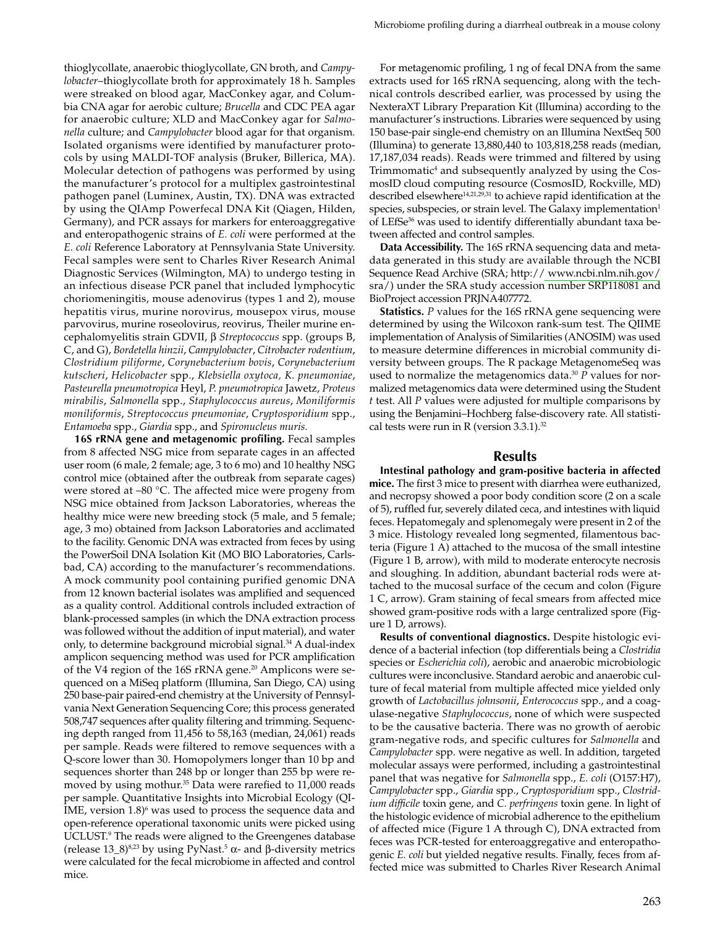thioglycollate, anaerobic thioglycollate, GN broth, and *Campylobacter*–thioglycollate broth for approximately 18 h. Samples were streaked on blood agar, MacConkey agar, and Columbia CNA agar for aerobic culture; *Brucella* and CDC PEA agar for anaerobic culture; XLD and MacConkey agar for *Salmonella* culture; and *Campylobacter* blood agar for that organism*.* Isolated organisms were identified by manufacturer protocols by using MALDI-TOF analysis (Bruker, Billerica, MA). Molecular detection of pathogens was performed by using the manufacturer's protocol for a multiplex gastrointestinal pathogen panel (Luminex, Austin, TX). DNA was extracted by using the QIAmp Powerfecal DNA Kit (Qiagen, Hilden, Germany), and PCR assays for markers for enteroaggregative and enteropathogenic strains of *E. coli* were performed at the *E. coli* Reference Laboratory at Pennsylvania State University. Fecal samples were sent to Charles River Research Animal Diagnostic Services (Wilmington, MA) to undergo testing in an infectious disease PCR panel that included lymphocytic choriomeningitis, mouse adenovirus (types 1 and 2), mouse hepatitis virus, murine norovirus, mousepox virus, mouse parvovirus, murine roseolovirus, reovirus, Theiler murine encephalomyelitis strain GDVII, β *Streptococcus* spp. (groups B, C, and G), *Bordetella hinzii*, *Campylobacter*, *Citrobacter rodentium*, *Clostridium piliforme*, *Corynebacterium bovis*, *Corynebacterium kutscheri*, *Helicobacter* spp., *Klebsiella oxytoca, K. pneumoniae*, *Pasteurella pneumotropica* Heyl, *P. pneumotropica* Jawetz, *Proteus mirabilis*, *Salmonella* spp., *Staphylococcus aureus*, *Moniliformis moniliformis*, *Streptococcus pneumoniae*, *Cryptosporidium* spp.,

*Entamoeba* spp., *Giardia* spp., and *Spironucleus muris.* **16S rRNA gene and metagenomic profiling.** Fecal samples from 8 affected NSG mice from separate cages in an affected user room (6 male, 2 female; age, 3 to 6 mo) and 10 healthy NSG control mice (obtained after the outbreak from separate cages) were stored at –80 °C. The affected mice were progeny from NSG mice obtained from Jackson Laboratories, whereas the healthy mice were new breeding stock (5 male, and 5 female; age, 3 mo) obtained from Jackson Laboratories and acclimated to the facility. Genomic DNA was extracted from feces by using the PowerSoil DNA Isolation Kit (MO BIO Laboratories, Carlsbad, CA) according to the manufacturer's recommendations. A mock community pool containing purified genomic DNA from 12 known bacterial isolates was amplified and sequenced as a quality control. Additional controls included extraction of blank-processed samples (in which the DNA extraction process was followed without the addition of input material), and water only, to determine background microbial signal.<sup>34</sup> A dual-index amplicon sequencing method was used for PCR amplification of the V4 region of the 16S rRNA gene.20 Amplicons were sequenced on a MiSeq platform (Illumina, San Diego, CA) using 250 base-pair paired-end chemistry at the University of Pennsylvania Next Generation Sequencing Core; this process generated 508,747 sequences after quality filtering and trimming. Sequencing depth ranged from 11,456 to 58,163 (median, 24,061) reads per sample. Reads were filtered to remove sequences with a Q-score lower than 30. Homopolymers longer than 10 bp and sequences shorter than 248 bp or longer than 255 bp were removed by using mothur.<sup>35</sup> Data were rarefied to 11,000 reads per sample. Quantitative Insights into Microbial Ecology (QI-IME, version 1.8)<sup>6</sup> was used to process the sequence data and open-reference operational taxonomic units were picked using UCLUST.9 The reads were aligned to the Greengenes database (release  $13_8^{8,23}$  by using PyNast.<sup>5</sup> α- and β-diversity metrics were calculated for the fecal microbiome in affected and control mice.

For metagenomic profiling, 1 ng of fecal DNA from the same extracts used for 16S rRNA sequencing, along with the technical controls described earlier, was processed by using the NexteraXT Library Preparation Kit (Illumina) according to the manufacturer's instructions. Libraries were sequenced by using 150 base-pair single-end chemistry on an Illumina NextSeq 500 (Illumina) to generate 13,880,440 to 103,818,258 reads (median, 17,187,034 reads). Reads were trimmed and filtered by using Trimmomatic<sup>4</sup> and subsequently analyzed by using the CosmosID cloud computing resource (CosmosID, Rockville, MD) described elsewhere<sup>14,21,29,31</sup> to achieve rapid identification at the species, subspecies, or strain level. The Galaxy implementation<sup>1</sup> of LEfSe<sup>36</sup> was used to identify differentially abundant taxa between affected and control samples.

**Data Accessibility.** The 16S rRNA sequencing data and metadata generated in this study are available through the NCBI Sequence Read Archive (SRA; http:/[/ www.ncbi.nlm.nih.gov/](http://www.ncbi.nlm.nih.gov/) sra/) under the SRA study accession number SRP118081 and BioProject accession PRJNA407772.

**Statistics.** *P* values for the 16S rRNA gene sequencing were determined by using the Wilcoxon rank-sum test. The QIIME implementation of Analysis of Similarities (ANOSIM) was used to measure determine differences in microbial community diversity between groups. The R package MetagenomeSeq was used to normalize the metagenomics data.<sup>30</sup> *P* values for normalized metagenomics data were determined using the Student *t* test. All *P* values were adjusted for multiple comparisons by using the Benjamini–Hochberg false-discovery rate. All statistical tests were run in R (version  $3.3.1$ ).<sup>32</sup>

#### **Results**

**Intestinal pathology and gram-positive bacteria in affected mice.** The first 3 mice to present with diarrhea were euthanized, and necropsy showed a poor body condition score (2 on a scale of 5), ruffled fur, severely dilated ceca, and intestines with liquid feces. Hepatomegaly and splenomegaly were present in 2 of the 3 mice. Histology revealed long segmented, filamentous bacteria (Figure 1 A) attached to the mucosa of the small intestine (Figure 1 B, arrow), with mild to moderate enterocyte necrosis and sloughing. In addition, abundant bacterial rods were attached to the mucosal surface of the cecum and colon (Figure 1 C, arrow). Gram staining of fecal smears from affected mice showed gram-positive rods with a large centralized spore (Figure 1 D, arrows).

**Results of conventional diagnostics.** Despite histologic evidence of a bacterial infection (top differentials being a *Clostridia* species or *Escherichia coli*), aerobic and anaerobic microbiologic cultures were inconclusive. Standard aerobic and anaerobic culture of fecal material from multiple affected mice yielded only growth of *Lactobacillus johnsonii*, *Enterococcus* spp., and a coagulase-negative *Staphylococcus*, none of which were suspected to be the causative bacteria. There was no growth of aerobic gram-negative rods, and specific cultures for *Salmonella* and *Campylobacter* spp. were negative as well. In addition, targeted molecular assays were performed, including a gastrointestinal panel that was negative for *Salmonella* spp., *E. coli* (O157:H7), *Campylobacter* spp., *Giardia* spp., *Cryptosporidium* spp., *Clostridium difficile* toxin gene, and *C. perfringens* toxin gene. In light of the histologic evidence of microbial adherence to the epithelium of affected mice (Figure 1 A through C), DNA extracted from feces was PCR-tested for enteroaggregative and enteropathogenic *E. coli* but yielded negative results. Finally, feces from affected mice was submitted to Charles River Research Animal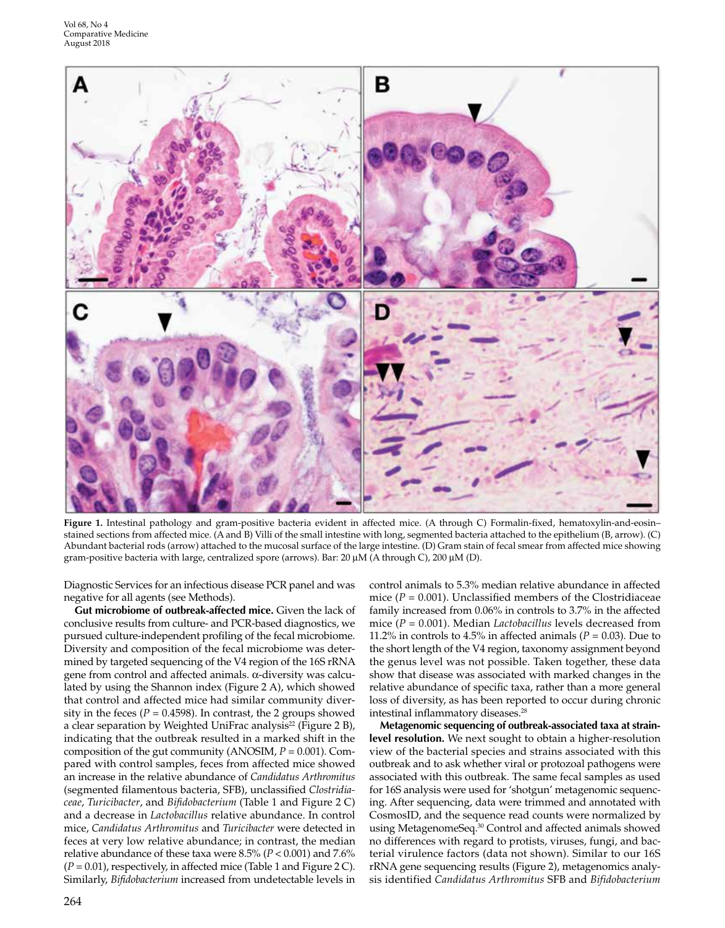

**Figure 1.** Intestinal pathology and gram-positive bacteria evident in affected mice. (A through C) Formalin-fixed, hematoxylin-and-eosin– stained sections from affected mice. (A and B) Villi of the small intestine with long, segmented bacteria attached to the epithelium (B, arrow). (C) Abundant bacterial rods (arrow) attached to the mucosal surface of the large intestine. (D) Gram stain of fecal smear from affected mice showing gram-positive bacteria with large, centralized spore (arrows). Bar: 20 μM (A through C), 200 μM (D).

Diagnostic Services for an infectious disease PCR panel and was negative for all agents (see Methods).

**Gut microbiome of outbreak-affected mice.** Given the lack of conclusive results from culture- and PCR-based diagnostics, we pursued culture-independent profiling of the fecal microbiome. Diversity and composition of the fecal microbiome was determined by targeted sequencing of the V4 region of the 16S rRNA gene from control and affected animals. α-diversity was calculated by using the Shannon index (Figure 2 A), which showed that control and affected mice had similar community diversity in the feces ( $P = 0.4598$ ). In contrast, the 2 groups showed a clear separation by Weighted UniFrac analysis<sup>22</sup> (Figure 2 B), indicating that the outbreak resulted in a marked shift in the composition of the gut community (ANOSIM, *P* = 0.001). Compared with control samples, feces from affected mice showed an increase in the relative abundance of *Candidatus Arthromitus* (segmented filamentous bacteria, SFB), unclassified *Clostridiaceae*, *Turicibacter*, and *Bifidobacterium* (Table 1 and Figure 2 C) and a decrease in *Lactobacillus* relative abundance. In control mice, *Candidatus Arthromitus* and *Turicibacter* were detected in feces at very low relative abundance; in contrast, the median relative abundance of these taxa were 8.5% (*P* < 0.001) and 7.6%  $(P = 0.01)$ , respectively, in affected mice (Table 1 and Figure 2 C). Similarly, *Bifidobacterium* increased from undetectable levels in control animals to 5.3% median relative abundance in affected mice  $(P = 0.001)$ . Unclassified members of the Clostridiaceae family increased from 0.06% in controls to 3.7% in the affected mice (*P* = 0.001). Median *Lactobacillus* levels decreased from 11.2% in controls to 4.5% in affected animals  $(P = 0.03)$ . Due to the short length of the V4 region, taxonomy assignment beyond the genus level was not possible. Taken together, these data show that disease was associated with marked changes in the relative abundance of specific taxa, rather than a more general loss of diversity, as has been reported to occur during chronic intestinal inflammatory diseases.<sup>28</sup>

**Metagenomic sequencing of outbreak-associated taxa at strainlevel resolution.** We next sought to obtain a higher-resolution view of the bacterial species and strains associated with this outbreak and to ask whether viral or protozoal pathogens were associated with this outbreak. The same fecal samples as used for 16S analysis were used for 'shotgun' metagenomic sequencing. After sequencing, data were trimmed and annotated with CosmosID, and the sequence read counts were normalized by using MetagenomeSeq.30 Control and affected animals showed no differences with regard to protists, viruses, fungi, and bacterial virulence factors (data not shown). Similar to our 16S rRNA gene sequencing results (Figure 2), metagenomics analysis identified *Candidatus Arthromitus* SFB and *Bifidobacterium*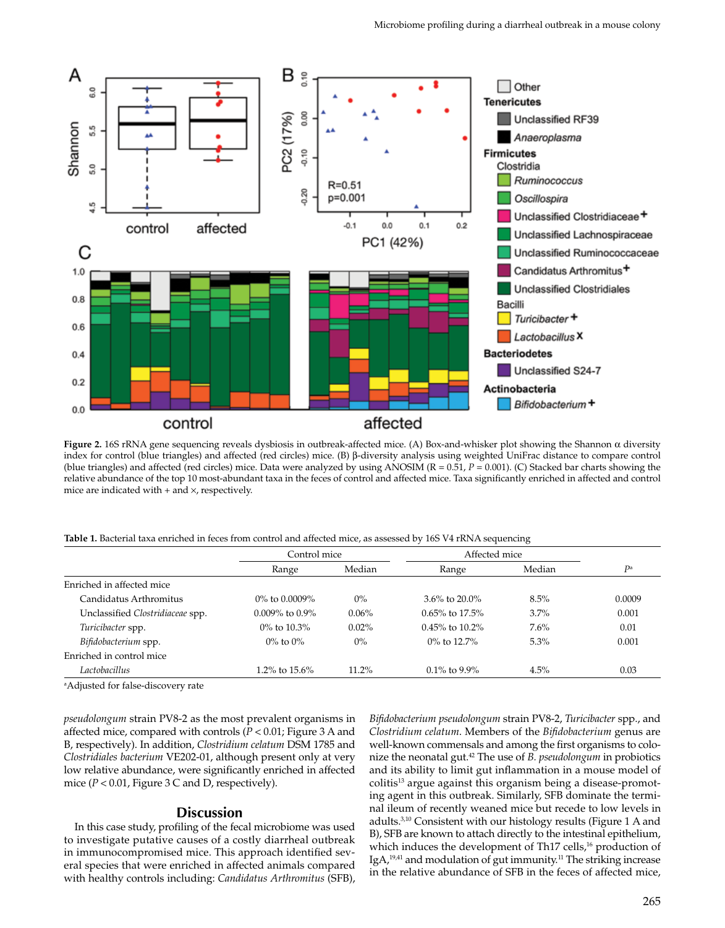

**Figure 2.** 16S rRNA gene sequencing reveals dysbiosis in outbreak-affected mice. (A) Box-and-whisker plot showing the Shannon α diversity index for control (blue triangles) and affected (red circles) mice. (B) β-diversity analysis using weighted UniFrac distance to compare control (blue triangles) and affected (red circles) mice. Data were analyzed by using ANOSIM (R = 0.51, *P* = 0.001). (C) Stacked bar charts showing the relative abundance of the top 10 most-abundant taxa in the feces of control and affected mice. Taxa significantly enriched in affected and control mice are indicated with  $+$  and  $\times$ , respectively.

**Table 1.** Bacterial taxa enriched in feces from control and affected mice, as assessed by 16S V4 rRNA sequencing

|                                  | Control mice         |          | Affected mice        |        |        |
|----------------------------------|----------------------|----------|----------------------|--------|--------|
|                                  | Range                | Median   | Range                | Median | Da     |
| Enriched in affected mice        |                      |          |                      |        |        |
| Candidatus Arthromitus           | $0\%$ to 0.0009%     | $0\%$    | 3.6% to $20.0\%$     | 8.5%   | 0.0009 |
| Unclassified Clostridiaceae spp. | $0.009\%$ to $0.9\%$ | $0.06\%$ | $0.65\%$ to 17.5%    | 3.7%   | 0.001  |
| Turicibacter spp.                | $0\%$ to $10.3\%$    | $0.02\%$ | $0.45\%$ to $10.2\%$ | 7.6%   | 0.01   |
| Bifidobacterium spp.             | $0\%$ to $0\%$       | $0\%$    | $0\%$ to 12.7%       | 5.3%   | 0.001  |
| Enriched in control mice         |                      |          |                      |        |        |
| I actobacillus                   | 1.2% to $15.6\%$     | $11.2\%$ | $0.1\%$ to 9.9%      | 4.5%   | 0.03   |
|                                  |                      |          |                      |        |        |

a Adjusted for false-discovery rate

*pseudolongum* strain PV8-2 as the most prevalent organisms in affected mice, compared with controls (*P* < 0.01; Figure 3 A and B, respectively). In addition, *Clostridium celatum* DSM 1785 and *Clostridiales bacterium* VE202-01, although present only at very low relative abundance, were significantly enriched in affected mice  $(P < 0.01$ , Figure 3 C and D, respectively).

#### **Discussion**

In this case study, profiling of the fecal microbiome was used to investigate putative causes of a costly diarrheal outbreak in immunocompromised mice. This approach identified several species that were enriched in affected animals compared with healthy controls including: *Candidatus Arthromitus* (SFB),

*Bifidobacterium pseudolongum* strain PV8-2, *Turicibacter* spp., and *Clostridium celatum*. Members of the *Bifidobacterium* genus are well-known commensals and among the first organisms to colonize the neonatal gut.42 The use of *B. pseudolongum* in probiotics and its ability to limit gut inflammation in a mouse model of colitis<sup>13</sup> argue against this organism being a disease-promoting agent in this outbreak. Similarly, SFB dominate the terminal ileum of recently weaned mice but recede to low levels in adults.3,10 Consistent with our histology results (Figure 1 A and B), SFB are known to attach directly to the intestinal epithelium, which induces the development of Th17 cells,<sup>16</sup> production of IgA, $19,41$  and modulation of gut immunity.<sup>11</sup> The striking increase in the relative abundance of SFB in the feces of affected mice,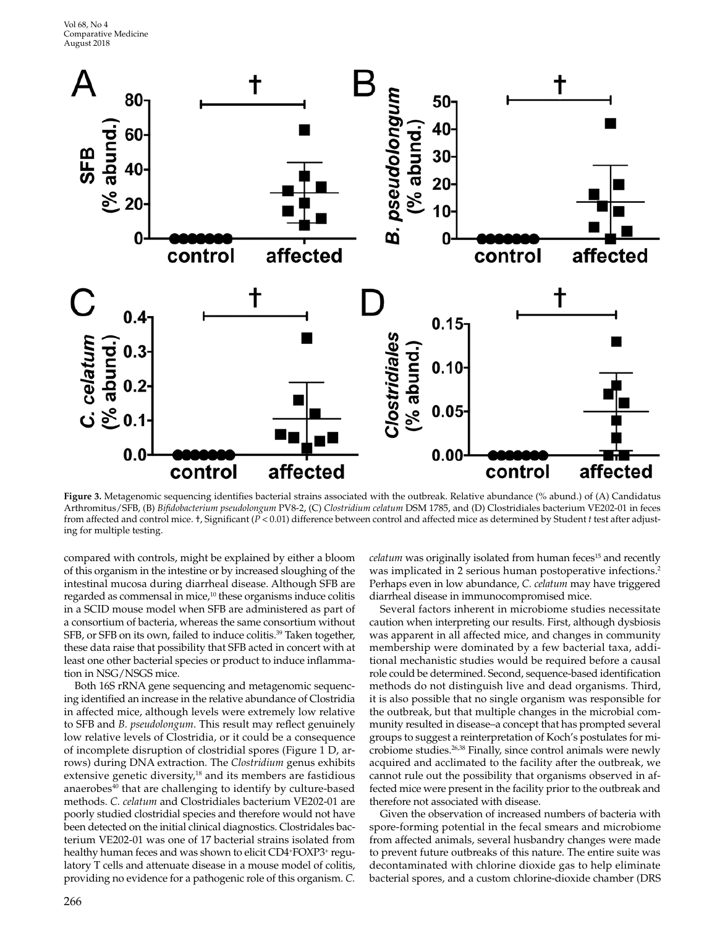

**Figure 3.** Metagenomic sequencing identifies bacterial strains associated with the outbreak. Relative abundance (% abund.) of (A) Candidatus Arthromitus/SFB, (B) *Bifidobacterium pseudolongum* PV8-2, (C) *Clostridium celatum* DSM 1785, and (D) Clostridiales bacterium VE202-01 in feces from affected and control mice. †, Significant (*P* < 0.01) difference between control and affected mice as determined by Student *t* test after adjusting for multiple testing.

compared with controls, might be explained by either a bloom of this organism in the intestine or by increased sloughing of the intestinal mucosa during diarrheal disease. Although SFB are regarded as commensal in mice,<sup>10</sup> these organisms induce colitis in a SCID mouse model when SFB are administered as part of a consortium of bacteria, whereas the same consortium without SFB, or SFB on its own, failed to induce colitis.<sup>39</sup> Taken together, these data raise that possibility that SFB acted in concert with at least one other bacterial species or product to induce inflammation in NSG/NSGS mice.

Both 16S rRNA gene sequencing and metagenomic sequencing identified an increase in the relative abundance of Clostridia in affected mice, although levels were extremely low relative to SFB and *B. pseudolongum*. This result may reflect genuinely low relative levels of Clostridia, or it could be a consequence of incomplete disruption of clostridial spores (Figure 1 D, arrows) during DNA extraction. The *Clostridium* genus exhibits extensive genetic diversity,<sup>18</sup> and its members are fastidious anaerobes<sup>40</sup> that are challenging to identify by culture-based methods. *C. celatum* and Clostridiales bacterium VE202-01 are poorly studied clostridial species and therefore would not have been detected on the initial clinical diagnostics. Clostridales bacterium VE202-01 was one of 17 bacterial strains isolated from healthy human feces and was shown to elicit CD4+FOXP3+ regulatory T cells and attenuate disease in a mouse model of colitis, providing no evidence for a pathogenic role of this organism. *C.* 

*celatum* was originally isolated from human feces<sup>15</sup> and recently was implicated in 2 serious human postoperative infections.<sup>2</sup> Perhaps even in low abundance, *C. celatum* may have triggered diarrheal disease in immunocompromised mice.

Several factors inherent in microbiome studies necessitate caution when interpreting our results. First, although dysbiosis was apparent in all affected mice, and changes in community membership were dominated by a few bacterial taxa, additional mechanistic studies would be required before a causal role could be determined. Second, sequence-based identification methods do not distinguish live and dead organisms. Third, it is also possible that no single organism was responsible for the outbreak, but that multiple changes in the microbial community resulted in disease–a concept that has prompted several groups to suggest a reinterpretation of Koch's postulates for microbiome studies.26,38 Finally, since control animals were newly acquired and acclimated to the facility after the outbreak, we cannot rule out the possibility that organisms observed in affected mice were present in the facility prior to the outbreak and therefore not associated with disease.

Given the observation of increased numbers of bacteria with spore-forming potential in the fecal smears and microbiome from affected animals, several husbandry changes were made to prevent future outbreaks of this nature. The entire suite was decontaminated with chlorine dioxide gas to help eliminate bacterial spores, and a custom chlorine-dioxide chamber (DRS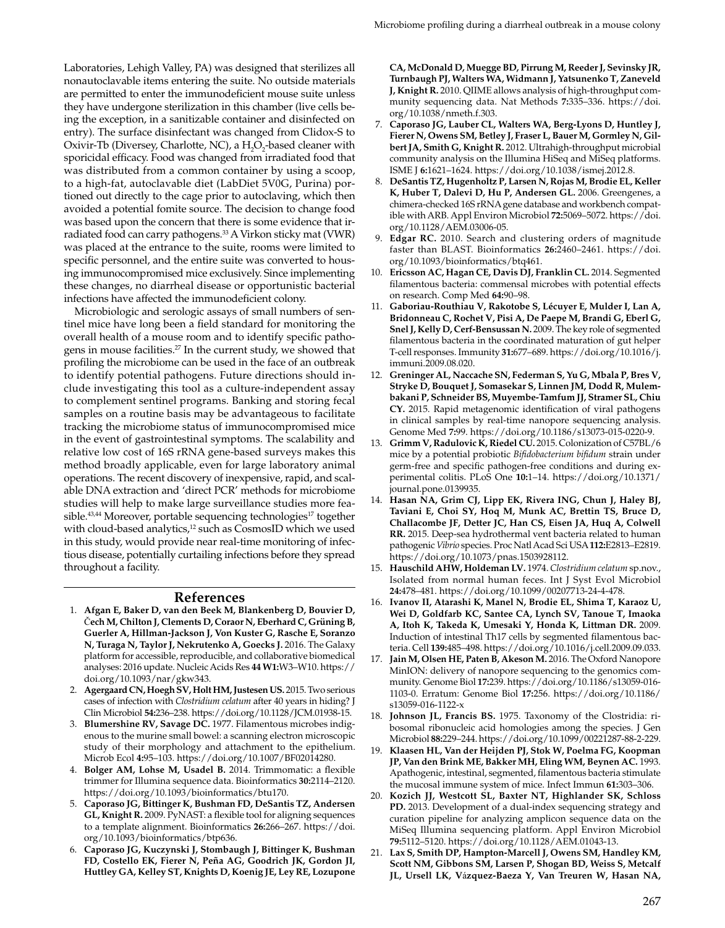Laboratories, Lehigh Valley, PA) was designed that sterilizes all nonautoclavable items entering the suite. No outside materials are permitted to enter the immunodeficient mouse suite unless they have undergone sterilization in this chamber (live cells being the exception, in a sanitizable container and disinfected on entry). The surface disinfectant was changed from Clidox-S to Oxivir-Tb (Diversey, Charlotte, NC), a  $H_2O_2$ -based cleaner with sporicidal efficacy. Food was changed from irradiated food that was distributed from a common container by using a scoop, to a high-fat, autoclavable diet (LabDiet 5V0G, Purina) portioned out directly to the cage prior to autoclaving, which then avoided a potential fomite source. The decision to change food was based upon the concern that there is some evidence that irradiated food can carry pathogens.33 A Virkon sticky mat (VWR) was placed at the entrance to the suite, rooms were limited to specific personnel, and the entire suite was converted to housing immunocompromised mice exclusively. Since implementing these changes, no diarrheal disease or opportunistic bacterial infections have affected the immunodeficient colony.

Microbiologic and serologic assays of small numbers of sentinel mice have long been a field standard for monitoring the overall health of a mouse room and to identify specific pathogens in mouse facilities.27 In the current study, we showed that profiling the microbiome can be used in the face of an outbreak to identify potential pathogens. Future directions should include investigating this tool as a culture-independent assay to complement sentinel programs. Banking and storing fecal samples on a routine basis may be advantageous to facilitate tracking the microbiome status of immunocompromised mice in the event of gastrointestinal symptoms. The scalability and relative low cost of 16S rRNA gene-based surveys makes this method broadly applicable, even for large laboratory animal operations. The recent discovery of inexpensive, rapid, and scalable DNA extraction and 'direct PCR' methods for microbiome studies will help to make large surveillance studies more feasible.<sup>43,44</sup> Moreover, portable sequencing technologies<sup>17</sup> together with cloud-based analytics,<sup>12</sup> such as CosmosID which we used in this study, would provide near real-time monitoring of infectious disease, potentially curtailing infections before they spread throughout a facility.

#### **References**

- 1. **Afgan E, Baker D, van den Beek M, Blankenberg D, Bouvier D,** Č**echM, Chilton J, Clements D, Coraor N, Eberhard C, GrüningB, Guerler A, Hillman-Jackson J, Von Kuster G, Rasche E, Soranzo N, Turaga N, Taylor J, Nekrutenko A, Goecks J.** 2016. The Galaxy platform for accessible, reproducible, and collaborative biomedical analyses: 2016 update. Nucleic Acids Res **44 W1:**W3–W10. https:// doi.org/10.1093/nar/gkw343.
- 2. **AgergaardCN, HoeghSV, Holt HM,JustesenUS.** 2015. Two serious cases of infection with *Clostridium celatum* after 40 years in hiding? J Clin Microbiol **54:**236–238. https://doi.org/10.1128/JCM.01938-15.
- 3. **Blumershine RV, Savage DC.** 1977. Filamentous microbes indigenous to the murine small bowel: a scanning electron microscopic study of their morphology and attachment to the epithelium. Microb Ecol **4:**95–103. https://doi.org/10.1007/BF02014280.
- 4. **Bolger AM, Lohse M, Usadel B.** 2014. Trimmomatic: a flexible trimmer for Illumina sequence data. Bioinformatics **30:**2114–2120. https://doi.org/10.1093/bioinformatics/btu170.
- 5. **Caporaso JG, Bittinger K, Bushman FD, DeSantis TZ, Andersen GL, Knight R.** 2009. PyNAST: a flexible tool for aligning sequences to a template alignment. Bioinformatics **26:**266–267. https://doi. org/10.1093/bioinformatics/btp636.
- 6. **Caporaso JG, Kuczynski J, Stombaugh J, Bittinger K, Bushman FD, Costello EK, Fierer N, Peña AG, Goodrich JK, Gordon JI, Huttley GA, Kelley ST, Knights D, Koenig JE, Ley RE, Lozupone**

**CA, McDonald D, Muegge BD, Pirrung M, ReederJ, Sevinsky JR, Turnbaugh PJ, Walters WA, Widmann J, Yatsunenko T, Zaneveld J, Knight R.** 2010. QIIME allows analysis of high-throughput community sequencing data. Nat Methods **7:**335–336. https://doi. org/10.1038/nmeth.f.303.

- 7. **Caporaso JG, Lauber CL, Walters WA, Berg-Lyons D, Huntley J, Fierer N, Owens SM, Betley J, Fraser L, Bauer M, Gormley N, GilbertJA, Smith G, Knight R.** 2012. Ultrahigh-throughput microbial community analysis on the Illumina HiSeq and MiSeq platforms. ISME J **6:**1621–1624. https://doi.org/10.1038/ismej.2012.8.
- 8. **DeSantis TZ, Hugenholtz P, Larsen N, Rojas M, Brodie EL, Keller K, Huber T, Dalevi D, Hu P, Andersen GL.** 2006. Greengenes, a chimera-checked 16S rRNA gene database and workbench compatible with ARB. Appl Environ Microbiol **72:**5069–5072. https://doi. org/10.1128/AEM.03006-05.
- 9. **Edgar RC.** 2010. Search and clustering orders of magnitude faster than BLAST. Bioinformatics **26:**2460–2461. https://doi. org/10.1093/bioinformatics/btq461.
- 10. **Ericsson AC, Hagan CE, Davis DJ, Franklin CL.** 2014. Segmented filamentous bacteria: commensal microbes with potential effects on research. Comp Med **64:**90–98.
- 11. **Gaboriau-Routhiau V, Rakotobe S, Lécuyer E, Mulder I, Lan A, Bridonneau C, Rochet V, Pisi A, De Paepe M, Brandi G, Eberl G, SnelJ, Kelly D, Cerf-Bensussan N.** 2009. The key role of segmented filamentous bacteria in the coordinated maturation of gut helper T-cell responses. Immunity **31:**677–689. https://doi.org/10.1016/j. immuni.2009.08.020.
- 12. **Greninger AL, Naccache SN, Federman S, Yu G, Mbala P, Bres V, Stryke D, Bouquet J, Somasekar S, Linnen JM, Dodd R, Mulembakani P, Schneider BS, Muyembe-Tamfum JJ, Stramer SL, Chiu CY.** 2015. Rapid metagenomic identification of viral pathogens in clinical samples by real-time nanopore sequencing analysis. Genome Med **7:**99. https://doi.org/10.1186/s13073-015-0220-9.
- 13. **Grimm V, Radulovic K, Riedel CU.** 2015. Colonization of C57BL/6 mice by a potential probiotic *Bifidobacterium bifidum* strain under germ-free and specific pathogen-free conditions and during experimental colitis. PLoS One **10:**1–14. https://doi.org/10.1371/ journal.pone.0139935.
- 14. **Hasan NA, Grim CJ, Lipp EK, Rivera ING, Chun J, Haley BJ, Taviani E, Choi SY, Hoq M, Munk AC, Brettin TS, Bruce D, Challacombe JF, Detter JC, Han CS, Eisen JA, Huq A, Colwell RR.** 2015. Deep-sea hydrothermal vent bacteria related to human pathogenic *Vibrio* species. Proc Natl Acad Sci USA **112:**E2813–E2819. https://doi.org/10.1073/pnas.1503928112.
- 15. **Hauschild AHW, Holdeman LV.** 1974. *Clostridium celatum* sp.nov., Isolated from normal human feces. Int J Syst Evol Microbiol **24:**478–481. https://doi.org/10.1099/00207713-24-4-478.
- 16. **Ivanov II, Atarashi K, Manel N, Brodie EL, Shima T, Karaoz U, Wei D, Goldfarb KC, Santee CA, Lynch SV, Tanoue T, Imaoka A, Itoh K, Takeda K, Umesaki Y, Honda K, Littman DR.** 2009. Induction of intestinal Th17 cells by segmented filamentous bacteria. Cell **139:**485–498. https://doi.org/10.1016/j.cell.2009.09.033.
- 17. **JainM, Olsen HE, PatenB, AkesonM.** 2016. The Oxford Nanopore MinION: delivery of nanopore sequencing to the genomics community. Genome Biol **17:**239. https://doi.org/10.1186/s13059-016- 1103-0. Erratum: Genome Biol **17:**256. https://doi.org/10.1186/ s13059-016-1122-x
- 18. **Johnson JL, Francis BS.** 1975. Taxonomy of the Clostridia: ribosomal ribonucleic acid homologies among the species. J Gen Microbiol **88:**229–244. https://doi.org/10.1099/00221287-88-2-229.
- 19. **Klaasen HL, Van der Heijden PJ, Stok W, Poelma FG, Koopman JP, Van den Brink ME, Bakker MH, Eling WM, Beynen AC.** 1993. Apathogenic, intestinal, segmented, filamentous bacteria stimulate the mucosal immune system of mice. Infect Immun **61:**303–306.
- 20. **Kozich JJ, Westcott SL, Baxter NT, Highlander SK, Schloss PD.** 2013. Development of a dual-index sequencing strategy and curation pipeline for analyzing amplicon sequence data on the MiSeq Illumina sequencing platform. Appl Environ Microbiol **79:**5112–5120. https://doi.org/10.1128/AEM.01043-13.
- 21. **Lax S, Smith DP, Hampton-Marcell J, Owens SM, Handley KM, Scott NM, Gibbons SM, Larsen P, Shogan BD, Weiss S, Metcalf JL, Ursell LK, V**á**zquez-Baeza Y, Van Treuren W, Hasan NA,**